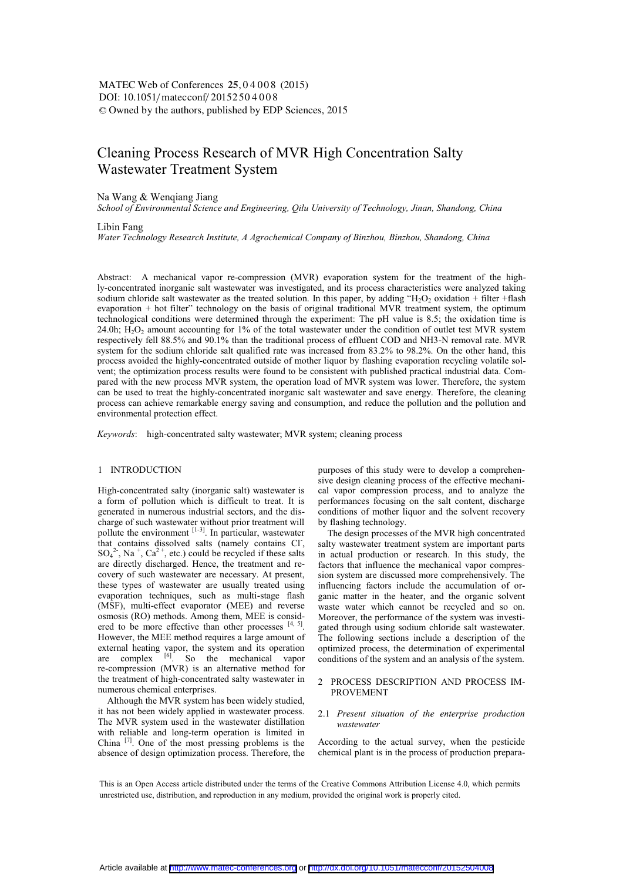# Cleaning Process Research of MVR High Concentration Salty Wastewater Treatment System

# Na Wang & Wenqiang Jiang

*School of Environmental Science and Engineering, Qilu University of Technology, Jinan, Shandong, China* 

## Libin Fang

*Water Technology Research Institute, A Agrochemical Company of Binzhou, Binzhou, Shandong, China*

Abstract: A mechanical vapor re-compression (MVR) evaporation system for the treatment of the highly-concentrated inorganic salt wastewater was investigated, and its process characteristics were analyzed taking sodium chloride salt wastewater as the treated solution. In this paper, by adding "H<sub>2</sub>O<sub>2</sub> oxidation + filter +flash evaporation + hot filter" technology on the basis of original traditional MVR treatment system, the optimum technological conditions were determined through the experiment: The pH value is 8.5; the oxidation time is 24.0h; H<sub>2</sub>O<sub>2</sub> amount accounting for 1% of the total wastewater under the condition of outlet test MVR system respectively fell 88.5% and 90.1% than the traditional process of effluent COD and NH3-N removal rate. MVR system for the sodium chloride salt qualified rate was increased from 83.2% to 98.2%. On the other hand, this process avoided the highly-concentrated outside of mother liquor by flashing evaporation recycling volatile solvent; the optimization process results were found to be consistent with published practical industrial data. Compared with the new process MVR system, the operation load of MVR system was lower. Therefore, the system can be used to treat the highly-concentrated inorganic salt wastewater and save energy. Therefore, the cleaning process can achieve remarkable energy saving and consumption, and reduce the pollution and the pollution and environmental protection effect.

*Keywords*: high-concentrated salty wastewater; MVR system; cleaning process

# 1 INTRODUCTION

High-concentrated salty (inorganic salt) wastewater is a form of pollution which is difficult to treat. It is generated in numerous industrial sectors, and the discharge of such wastewater without prior treatment will pollute the environment  $^{[1-3]}$ . In particular, wastewater that contains dissolved salts (namely contains Cl,  $SO_4^2$ , Na<sup>+</sup>,  $Ca^2$ <sup>+</sup>, etc.) could be recycled if these salts are directly discharged. Hence, the treatment and recovery of such wastewater are necessary. At present, these types of wastewater are usually treated using evaporation techniques, such as multi-stage flash (MSF), multi-effect evaporator (MEE) and reverse osmosis (RO) methods. Among them, MEE is considered to be more effective than other processes [4, 5]. However, the MEE method requires a large amount of external heating vapor, the system and its operation are complex  $[6]$ . So the mechanical vapor re-compression (MVR) is an alternative method for the treatment of high-concentrated salty wastewater in numerous chemical enterprises.

Although the MVR system has been widely studied, it has not been widely applied in wastewater process. The MVR system used in the wastewater distillation with reliable and long-term operation is limited in China  $^{[7]}$ . One of the most pressing problems is the absence of design optimization process. Therefore, the

purposes of this study were to develop a comprehensive design cleaning process of the effective mechanical vapor compression process, and to analyze the performances focusing on the salt content, discharge conditions of mother liquor and the solvent recovery by flashing technology.

The design processes of the MVR high concentrated salty wastewater treatment system are important parts in actual production or research. In this study, the factors that influence the mechanical vapor compression system are discussed more comprehensively. The influencing factors include the accumulation of organic matter in the heater, and the organic solvent waste water which cannot be recycled and so on. Moreover, the performance of the system was investigated through using sodium chloride salt wastewater. The following sections include a description of the optimized process, the determination of experimental conditions of the system and an analysis of the system.

# 2 PROCESS DESCRIPTION AND PROCESS IM-PROVEMENT

# 2.1 *Present situation of the enterprise production wastewater*

According to the actual survey, when the pesticide chemical plant is in the process of production prepara-

This is an Open Access article distributed under the terms of the Creative Commons Attribution License 4.0, which permits unrestricted use, distribution, and reproduction in any medium, provided the original work is properly cited.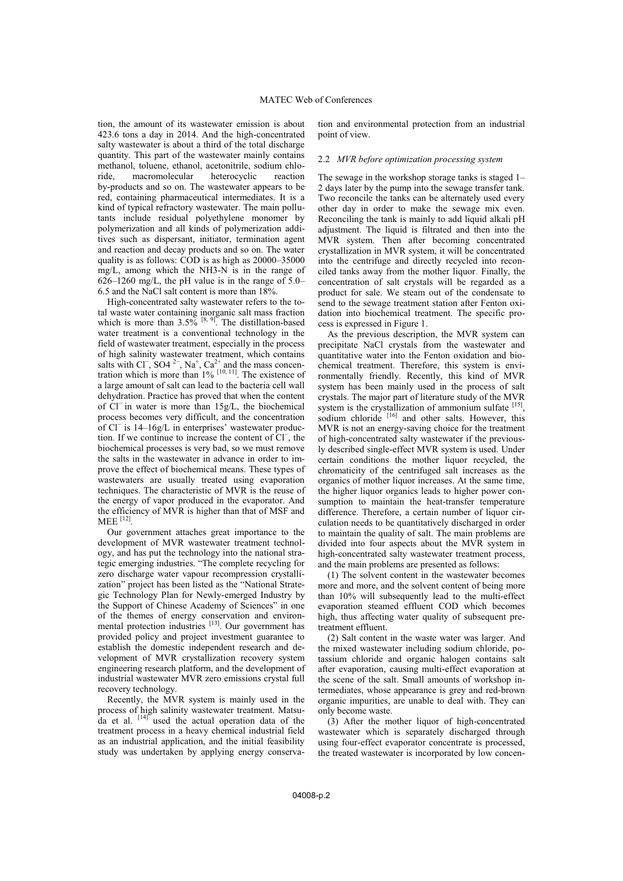tion, the amount of its wastewater emission is about 423.6 tons a day in 2014. And the high-concentrated salty wastewater is about a third of the total discharge quantity. This part of the wastewater mainly contains methanol, toluene, ethanol, acetonitrile, sodium chloride, macromolecular heterocyclic reaction macromolecular by-products and so on. The wastewater appears to be red, containing pharmaceutical intermediates. It is a kind of typical refractory wastewater. The main pollutants include residual polyethylene monomer by polymerization and all kinds of polymerization additives such as dispersant, initiator, termination agent and reaction and decay products and so on. The water quality is as follows: COD is as high as 20000–35000 mg/L, among which the NH3-N is in the range of  $626-1260$  mg/L, the pH value is in the range of  $5.0-$ 6.5 and the NaCl salt content is more than 18%.

High-concentrated salty wastewater refers to the total waste water containing inorganic salt mass fraction which is more than  $3.5\%$  <sup>[8, 9]</sup>. The distillation-based water treatment is a conventional technology in the field of wastewater treatment, especially in the process of high salinity wastewater treatment, which contains salts with Cl<sup>−</sup>, SO4<sup>2−</sup>, Na<sup>+</sup>, Ca<sup>2+</sup> and the mass concentration which is more than  $1\%$  <sup>[10, 11]</sup>. The existence of a large amount of salt can lead to the bacteria cell wall dehydration. Practice has proved that when the content of Cl<sup>−</sup> in water is more than 15g/L, the biochemical process becomes very difficult, and the concentration of Cl<sup>−</sup> is 14–16g/L in enterprises' wastewater production. If we continue to increase the content of Cl<sup>−</sup> , the biochemical processes is very bad, so we must remove the salts in the wastewater in advance in order to improve the effect of biochemical means. These types of wastewaters are usually treated using evaporation techniques. The characteristic of MVR is the reuse of the energy of vapor produced in the evaporator. And the efficiency of MVR is higher than that of MSF and  $MEE$ <sup>[12]</sup>

Our government attaches great importance to the development of MVR wastewater treatment technology, and has put the technology into the national strategic emerging industries. "The complete recycling for zero discharge water vapour recompression crystallization" project has been listed as the "National Strategic Technology Plan for Newly-emerged Industry by the Support of Chinese Academy of Sciences" in one of the themes of energy conservation and environmental protection industries <sup>[13]</sup>. Our government has provided policy and project investment guarantee to establish the domestic independent research and development of MVR crystallization recovery system engineering research platform, and the development of industrial wastewater MVR zero emissions crystal full recovery technology.

Recently, the MVR system is mainly used in the process of high salinity wastewater treatment. Matsuda et al.  $[14]$  used the actual operation data of the treatment process in a heavy chemical industrial field as an industrial application, and the initial feasibility study was undertaken by applying energy conservation and environmental protection from an industrial point of view.

# 2.2 *MVR before optimization processing system*

The sewage in the workshop storage tanks is staged 1– 2 days later by the pump into the sewage transfer tank. Two reconcile the tanks can be alternately used every other day in order to make the sewage mix even. Reconciling the tank is mainly to add liquid alkali pH adjustment. The liquid is filtrated and then into the MVR system. Then after becoming concentrated crystallization in MVR system, it will be concentrated into the centrifuge and directly recycled into reconciled tanks away from the mother liquor. Finally, the concentration of salt crystals will be regarded as a product for sale. We steam out of the condensate to send to the sewage treatment station after Fenton oxidation into biochemical treatment. The specific process is expressed in Figure 1.

As the previous description, the MVR system can precipitate NaCl crystals from the wastewater and quantitative water into the Fenton oxidation and biochemical treatment. Therefore, this system is environmentally friendly. Recently, this kind of MVR system has been mainly used in the process of salt crystals. The major part of literature study of the MVR system is the crystallization of ammonium sulfate [15] sodium chloride [16] and other salts. However, this MVR is not an energy-saving choice for the treatment of high-concentrated salty wastewater if the previously described single-effect MVR system is used. Under certain conditions the mother liquor recycled, the chromaticity of the centrifuged salt increases as the organics of mother liquor increases. At the same time, the higher liquor organics leads to higher power consumption to maintain the heat-transfer temperature difference. Therefore, a certain number of liquor circulation needs to be quantitatively discharged in order to maintain the quality of salt. The main problems are divided into four aspects about the MVR system in high-concentrated salty wastewater treatment process, and the main problems are presented as follows:

(1) The solvent content in the wastewater becomes more and more, and the solvent content of being more than 10% will subsequently lead to the multi-effect evaporation steamed effluent COD which becomes high, thus affecting water quality of subsequent pretreatment effluent.

(2) Salt content in the waste water was larger. And the mixed wastewater including sodium chloride, potassium chloride and organic halogen contains salt after evaporation, causing multi-effect evaporation at the scene of the salt. Small amounts of workshop intermediates, whose appearance is grey and red-brown organic impurities, are unable to deal with. They can only become waste.

(3) After the mother liquor of high-concentrated wastewater which is separately discharged through using four-effect evaporator concentrate is processed, the treated wastewater is incorporated by low concen-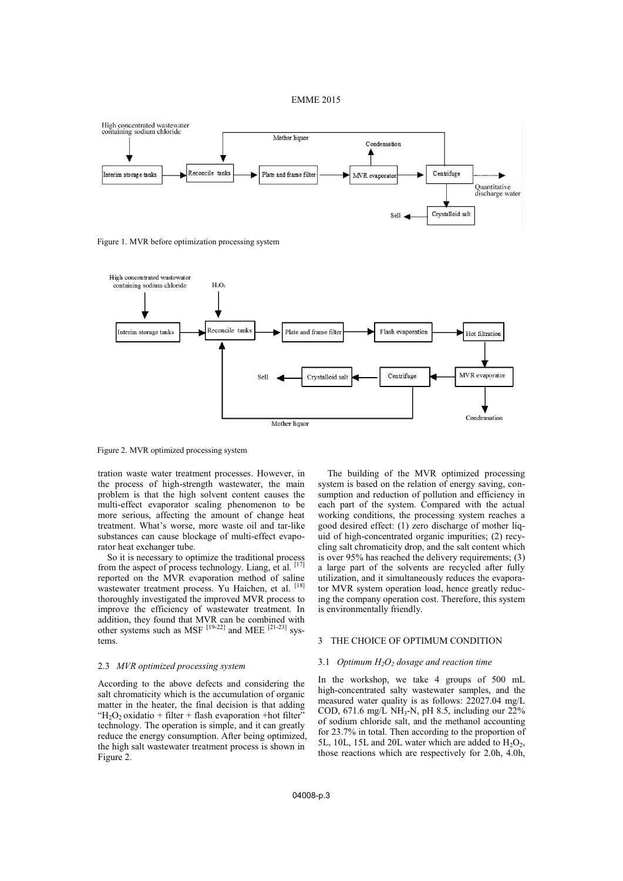# EMME 2015



Figure 1. MVR before optimization processing system



Figure 2. MVR optimized processing system

tration waste water treatment processes. However, in the process of high-strength wastewater, the main problem is that the high solvent content causes the multi-effect evaporator scaling phenomenon to be more serious, affecting the amount of change heat treatment. What's worse, more waste oil and tar-like substances can cause blockage of multi-effect evaporator heat exchanger tube.

So it is necessary to optimize the traditional process from the aspect of process technology. Liang, et al. [17] reported on the MVR evaporation method of saline wastewater treatment process. Yu Haichen, et al. [18] thoroughly investigated the improved MVR process to improve the efficiency of wastewater treatment. In addition, they found that MVR can be combined with other systems such as MSF  $[19-22]$  and MEE  $[21-23]$  systems.

#### 2.3 *MVR optimized processing system*

According to the above defects and considering the salt chromaticity which is the accumulation of organic matter in the heater, the final decision is that adding "H<sub>2</sub>O<sub>2</sub> oxidatio + filter + flash evaporation +hot filter" technology. The operation is simple, and it can greatly reduce the energy consumption. After being optimized, the high salt wastewater treatment process is shown in Figure 2.

The building of the MVR optimized processing system is based on the relation of energy saving, consumption and reduction of pollution and efficiency in each part of the system. Compared with the actual working conditions, the processing system reaches a good desired effect: (1) zero discharge of mother liquid of high-concentrated organic impurities; (2) recycling salt chromaticity drop, and the salt content which is over 95% has reached the delivery requirements; (3) a large part of the solvents are recycled after fully utilization, and it simultaneously reduces the evaporator MVR system operation load, hence greatly reducing the company operation cost. Therefore, this system is environmentally friendly.

# 3 THE CHOICE OF OPTIMUM CONDITION

# 3.1 *Optimum H2O2 dosage and reaction time*

In the workshop, we take 4 groups of 500 mL high-concentrated salty wastewater samples, and the measured water quality is as follows: 22027.04 mg/L COD, 671.6 mg/L NH<sub>3</sub>-N, pH 8.5, including our  $22\%$ of sodium chloride salt, and the methanol accounting for 23.7% in total. Then according to the proportion of 5L, 10L, 15L and 20L water which are added to  $H_2O_2$ , those reactions which are respectively for 2.0h, 4.0h,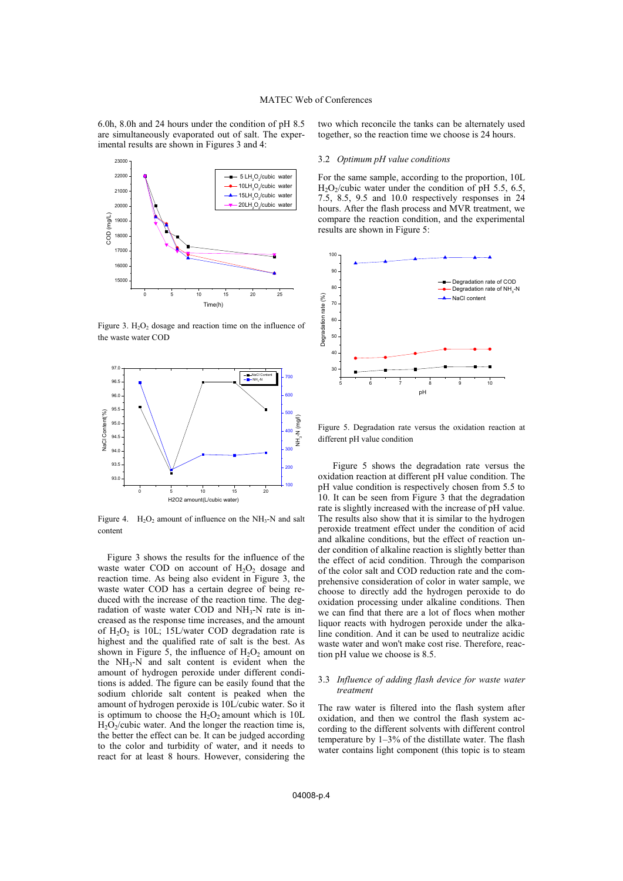6.0h, 8.0h and 24 hours under the condition of pH 8.5 are simultaneously evaporated out of salt. The experimental results are shown in Figures 3 and 4:



Figure 3.  $H_2O_2$  dosage and reaction time on the influence of the waste water COD



Figure 4.  $H_2O_2$  amount of influence on the NH<sub>3</sub>-N and salt content

Figure 3 shows the results for the influence of the waste water COD on account of  $H_2O_2$  dosage and reaction time. As being also evident in Figure 3, the waste water COD has a certain degree of being reduced with the increase of the reaction time. The degradation of waste water COD and NH3-N rate is increased as the response time increases, and the amount of  $H_2O_2$  is 10L; 15L/water COD degradation rate is highest and the qualified rate of salt is the best. As shown in Figure 5, the influence of  $H_2O_2$  amount on the  $NH<sub>3</sub>-N$  and salt content is evident when the amount of hydrogen peroxide under different conditions is added. The figure can be easily found that the sodium chloride salt content is peaked when the amount of hydrogen peroxide is 10L/cubic water. So it is optimum to choose the  $H_2O_2$  amount which is 10L  $H_2O_2$ /cubic water. And the longer the reaction time is, the better the effect can be. It can be judged according to the color and turbidity of water, and it needs to react for at least 8 hours. However, considering the

two which reconcile the tanks can be alternately used together, so the reaction time we choose is 24 hours.

## 3.2 *Optimum pH value conditions*

For the same sample, according to the proportion, 10L  $H_2O_2$ /cubic water under the condition of pH 5.5, 6.5, 7.5, 8.5, 9.5 and 10.0 respectively responses in 24 hours. After the flash process and MVR treatment, we compare the reaction condition, and the experimental results are shown in Figure 5:



Figure 5. Degradation rate versus the oxidation reaction at different pH value condition

Figure 5 shows the degradation rate versus the oxidation reaction at different pH value condition. The pH value condition is respectively chosen from 5.5 to 10. It can be seen from Figure 3 that the degradation rate is slightly increased with the increase of pH value. The results also show that it is similar to the hydrogen peroxide treatment effect under the condition of acid and alkaline conditions, but the effect of reaction under condition of alkaline reaction is slightly better than the effect of acid condition. Through the comparison of the color salt and COD reduction rate and the comprehensive consideration of color in water sample, we choose to directly add the hydrogen peroxide to do oxidation processing under alkaline conditions. Then we can find that there are a lot of flocs when mother liquor reacts with hydrogen peroxide under the alkaline condition. And it can be used to neutralize acidic waste water and won't make cost rise. Therefore, reaction pH value we choose is 8.5.

## 3.3 *Influence of adding flash device for waste water treatment*

The raw water is filtered into the flash system after oxidation, and then we control the flash system according to the different solvents with different control temperature by 1–3% of the distillate water. The flash water contains light component (this topic is to steam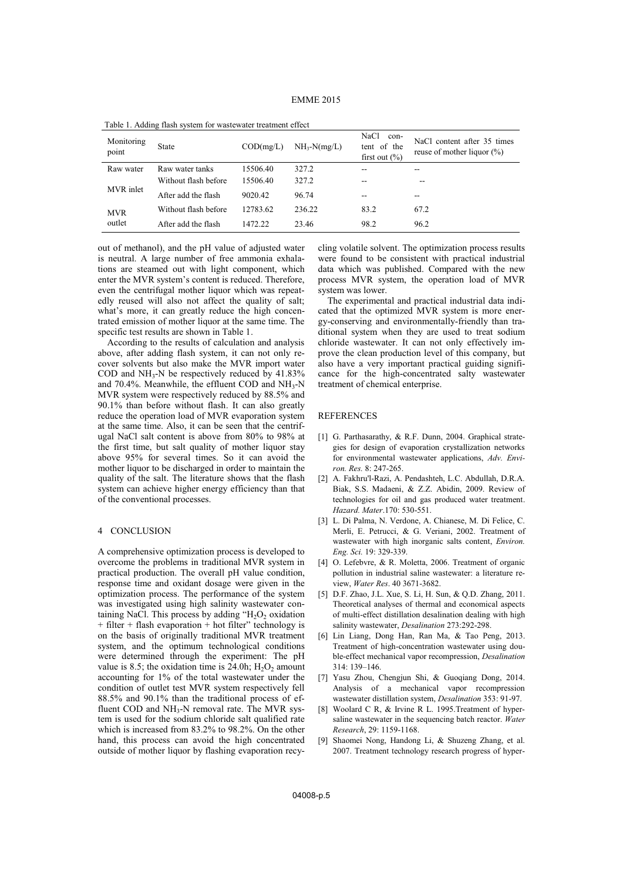| <b>EMME 2015</b> |  |
|------------------|--|
|------------------|--|

| Monitoring<br>point | <b>State</b>         | COD(mg/L) | $NH_3-N(mg/L)$ | NaCl<br>con-<br>tent of the<br>first out $(\% )$ | NaCl content after 35 times<br>reuse of mother liquor $(\%)$ |
|---------------------|----------------------|-----------|----------------|--------------------------------------------------|--------------------------------------------------------------|
| Raw water           | Raw water tanks      | 15506.40  | 327.2          |                                                  | --                                                           |
| MVR inlet           | Without flash before | 15506.40  | 327.2          | --                                               | $- -$                                                        |
|                     | After add the flash  | 9020.42   | 96.74          | $- -$                                            | --                                                           |
| <b>MVR</b>          | Without flash before | 12783.62  | 236.22         | 83.2                                             | 67.2                                                         |
| outlet              | After add the flash  | 1472.22   | 23.46          | 98.2                                             | 96.2                                                         |

Table 1. Adding flash system for wastewater treatment effect

out of methanol), and the pH value of adjusted water is neutral. A large number of free ammonia exhalations are steamed out with light component, which enter the MVR system's content is reduced. Therefore, even the centrifugal mother liquor which was repeatedly reused will also not affect the quality of salt; what's more, it can greatly reduce the high concentrated emission of mother liquor at the same time. The specific test results are shown in Table 1.

According to the results of calculation and analysis above, after adding flash system, it can not only recover solvents but also make the MVR import water COD and NH<sub>3</sub>-N be respectively reduced by  $41.83\%$ and 70.4%. Meanwhile, the effluent COD and  $NH<sub>3</sub>-N$ MVR system were respectively reduced by 88.5% and 90.1% than before without flash. It can also greatly reduce the operation load of MVR evaporation system at the same time. Also, it can be seen that the centrifugal NaCl salt content is above from 80% to 98% at the first time, but salt quality of mother liquor stay above 95% for several times. So it can avoid the mother liquor to be discharged in order to maintain the quality of the salt. The literature shows that the flash system can achieve higher energy efficiency than that of the conventional processes.

## 4 CONCLUSION

A comprehensive optimization process is developed to overcome the problems in traditional MVR system in practical production. The overall pH value condition, response time and oxidant dosage were given in the optimization process. The performance of the system was investigated using high salinity wastewater containing NaCl. This process by adding " $H_2O_2$  oxidation  $+$  filter  $+$  flash evaporation  $+$  hot filter" technology is on the basis of originally traditional MVR treatment system, and the optimum technological conditions were determined through the experiment: The pH value is 8.5; the oxidation time is 24.0h;  $H_2O_2$  amount accounting for 1% of the total wastewater under the condition of outlet test MVR system respectively fell 88.5% and 90.1% than the traditional process of effluent COD and NH<sub>3</sub>-N removal rate. The MVR system is used for the sodium chloride salt qualified rate which is increased from 83.2% to 98.2%. On the other hand, this process can avoid the high concentrated outside of mother liquor by flashing evaporation recycling volatile solvent. The optimization process results were found to be consistent with practical industrial data which was published. Compared with the new process MVR system, the operation load of MVR system was lower.

The experimental and practical industrial data indicated that the optimized MVR system is more energy-conserving and environmentally-friendly than traditional system when they are used to treat sodium chloride wastewater. It can not only effectively improve the clean production level of this company, but also have a very important practical guiding significance for the high-concentrated salty wastewater treatment of chemical enterprise.

#### REFERENCES

- [1] G. Parthasarathy, & R.F. Dunn, 2004. Graphical strategies for design of evaporation crystallization networks for environmental wastewater applications, *Adv. Environ. Res.* 8: 247-265.
- [2] A. Fakhru'l-Razi, A. Pendashteh, L.C. Abdullah, D.R.A. Biak, S.S. Madaeni, & Z.Z. Abidin, 2009. Review of technologies for oil and gas produced water treatment. *Hazard. Mater*.170: 530-551.
- [3] L. Di Palma, N. Verdone, A. Chianese, M. Di Felice, C. Merli, E. Petrucci, & G. Veriani, 2002. Treatment of wastewater with high inorganic salts content, *Environ. Eng. Sci.* 19: 329-339.
- [4] O. Lefebvre, & R. Moletta, 2006. Treatment of organic pollution in industrial saline wastewater: a literature review, *Water Res*. 40 3671-3682.
- [5] D.F. Zhao, J.L. Xue, S. Li, H. Sun, & Q.D. Zhang, 2011. Theoretical analyses of thermal and economical aspects of multi-effect distillation desalination dealing with high salinity wastewater, *Desalination* 273:292-298.
- [6] Lin Liang, Dong Han, Ran Ma, & Tao Peng, 2013. Treatment of high-concentration wastewater using double-effect mechanical vapor recompression, *Desalination* 314: 139–146.
- [7] Yasu Zhou, Chengjun Shi, & Guoqiang Dong, 2014. Analysis of a mechanical vapor recompression wastewater distillation system, *Desalination* 353: 91-97.
- [8] Woolard C R, & Irvine R L. 1995.Treatment of hypersaline wastewater in the sequencing batch reactor. *Water Research*, 29: 1159-1168.
- [9] Shaomei Nong, Handong Li, & Shuzeng Zhang, et al. 2007. Treatment technology research progress of hyper-